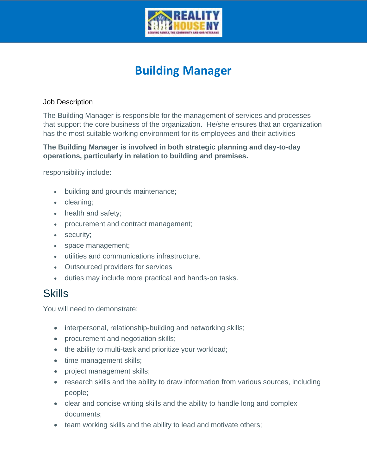

## **Building Manager**

## **Job Description**

**The Building Manager is responsible for the management of services and processes that support the core business of the organization. He/she ensures that an organization has the most suitable working environment for its employees and their activities**

**The Building Manager is involved in both strategic planning and day-to-day operations, particularly in relation to building and premises.**

**responsibility include:**

- **building and grounds maintenance;**
- **cleaning;**
- **health and safety;**
- **procurement and contract management;**
- **security;**
- **space management;**
- **utilities and communications infrastructure.**
- **Outsourced providers for services**
- **duties may include more practical and hands-on tasks.**

## **Skills**

**You will need to demonstrate:**

- **interpersonal, relationship-building and networking skills;**
- **procurement and negotiation skills;**
- **the ability to multi-task and prioritize your workload;**
- **time management skills;**
- **project management skills;**
- **research skills and the ability to draw information from various sources, including people;**
- **clear and concise writing skills and the ability to handle long and complex documents;**
- **team working skills and the ability to lead and motivate others;**